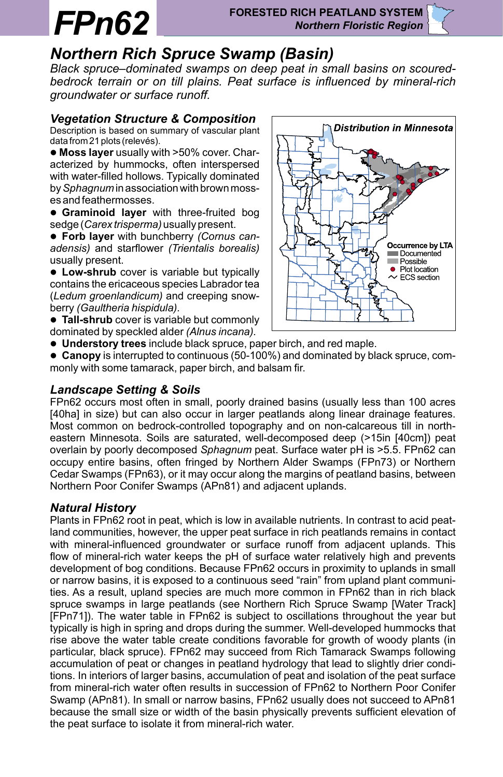# $FPh62$

# *Northern Rich Spruce Swamp (Basin)*

*Black spruce–dominated swamps on deep peat in small basins on scouredbedrock terrain or on till plains. Peat surface is influenced by mineral-rich groundwater or surface runoff.*

#### *Vegetation Structure & Composition*

Description is based on summary of vascular plant data from 21 plots (relevés).

l **Moss layer** usually with >50% cover. Characterized by hummocks, often interspersed with water-filled hollows. Typically dominated by *Sphagnum* in association with brown mosses and feathermosses.

**• Graminoid layer** with three-fruited bog sedge (*Carex trisperma)* usually present.

**• Forb layer** with bunchberry *(Cornus canadensis)* and starflower *(Trientalis borealis)*  usually present.

**• Low-shrub** cover is variable but typically contains the ericaceous species Labrador tea (*Ledum groenlandicum)* and creeping snowberry *(Gaultheria hispidula).*

**• Tall-shrub** cover is variable but commonly dominated by speckled alder *(Alnus incana).*



**.** Understory trees include black spruce, paper birch, and red maple.

**Canopy** is interrupted to continuous (50-100%) and dominated by black spruce, commonly with some tamarack, paper birch, and balsam fir.

## *Landscape Setting & Soils*

FPn62 occurs most often in small, poorly drained basins (usually less than 100 acres [40ha] in size) but can also occur in larger peatlands along linear drainage features. Most common on bedrock-controlled topography and on non-calcareous till in northeastern Minnesota. Soils are saturated, well-decomposed deep (>15in [40cm]) peat overlain by poorly decomposed *Sphagnum* peat. Surface water pH is >5.5. FPn62 can occupy entire basins, often fringed by Northern Alder Swamps (FPn73) or Northern Cedar Swamps (FPn63), or it may occur along the margins of peatland basins, between Northern Poor Conifer Swamps (APn81) and adjacent uplands.

# *Natural History*

rise above the water table create conditions favorable for growth of woody plants (in Plants in FPn62 root in peat, which is low in available nutrients. In contrast to acid peatland communities, however, the upper peat surface in rich peatlands remains in contact with mineral-influenced groundwater or surface runoff from adjacent uplands. This flow of mineral-rich water keeps the pH of surface water relatively high and prevents development of bog conditions. Because FPn62 occurs in proximity to uplands in small or narrow basins, it is exposed to a continuous seed "rain" from upland plant communities. As a result, upland species are much more common in FPn62 than in rich black spruce swamps in large peatlands (see Northern Rich Spruce Swamp [Water Track] [FPn71]). The water table in FPn62 is subject to oscillations throughout the year but typically is high in spring and drops during the summer. Well-developed hummocks that particular, black spruce). FPn62 may succeed from Rich Tamarack Swamps following accumulation of peat or changes in peatland hydrology that lead to slightly drier conditions. In interiors of larger basins, accumulation of peat and isolation of the peat surface from mineral-rich water often results in succession of FPn62 to Northern Poor Conifer Swamp (APn81). In small or narrow basins, FPn62 usually does not succeed to APn81 because the small size or width of the basin physically prevents sufficient elevation of the peat surface to isolate it from mineral-rich water.